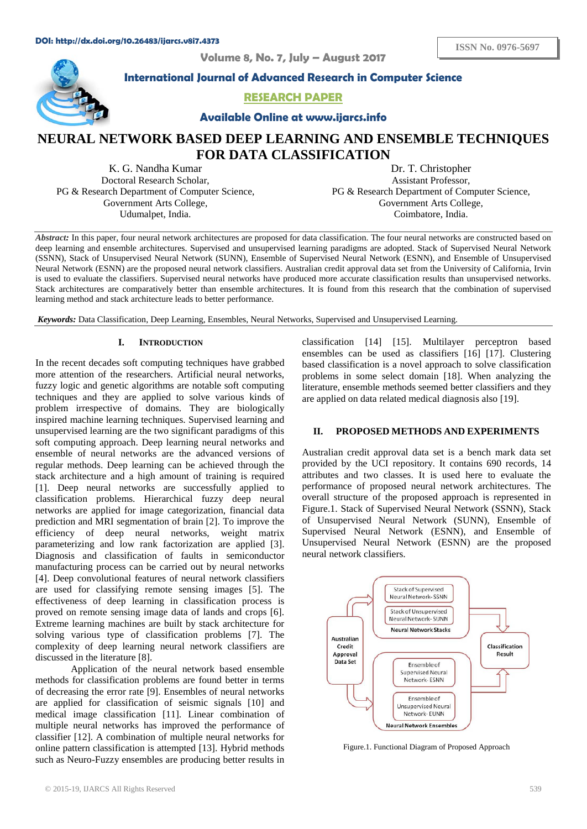**Volume 8, No. 7, July – August 2017**



**International Journal of Advanced Research in Computer Science**

## **RESEARCH PAPER**

**Available Online at www.ijarcs.info**

# **NEURAL NETWORK BASED DEEP LEARNING AND ENSEMBLE TECHNIQUES FOR DATA CLASSIFICATION**

K. G. Nandha Kumar Doctoral Research Scholar, PG & Research Department of Computer Science, Government Arts College, Udumalpet, India.

Dr. T. Christopher Assistant Professor, PG & Research Department of Computer Science, Government Arts College, Coimbatore, India.

*Abstract:* In this paper, four neural network architectures are proposed for data classification. The four neural networks are constructed based on deep learning and ensemble architectures. Supervised and unsupervised learning paradigms are adopted. Stack of Supervised Neural Network (SSNN), Stack of Unsupervised Neural Network (SUNN), Ensemble of Supervised Neural Network (ESNN), and Ensemble of Unsupervised Neural Network (ESNN) are the proposed neural network classifiers. Australian credit approval data set from the University of California, Irvin is used to evaluate the classifiers. Supervised neural networks have produced more accurate classification results than unsupervised networks. Stack architectures are comparatively better than ensemble architectures. It is found from this research that the combination of supervised learning method and stack architecture leads to better performance.

*Keywords:* Data Classification, Deep Learning, Ensembles, Neural Networks, Supervised and Unsupervised Learning.

#### **I. INTRODUCTION**

In the recent decades soft computing techniques have grabbed more attention of the researchers. Artificial neural networks, fuzzy logic and genetic algorithms are notable soft computing techniques and they are applied to solve various kinds of problem irrespective of domains. They are biologically inspired machine learning techniques. Supervised learning and unsupervised learning are the two significant paradigms of this soft computing approach. Deep learning neural networks and ensemble of neural networks are the advanced versions of regular methods. Deep learning can be achieved through the stack architecture and a high amount of training is required [1]. Deep neural networks are successfully applied to classification problems. Hierarchical fuzzy deep neural networks are applied for image categorization, financial data prediction and MRI segmentation of brain [2]. To improve the efficiency of deep neural networks, weight matrix parameterizing and low rank factorization are applied [3]. Diagnosis and classification of faults in semiconductor manufacturing process can be carried out by neural networks [4]. Deep convolutional features of neural network classifiers are used for classifying remote sensing images [5]. The effectiveness of deep learning in classification process is proved on remote sensing image data of lands and crops [6]. Extreme learning machines are built by stack architecture for solving various type of classification problems [7]. The complexity of deep learning neural network classifiers are discussed in the literature [8].

Application of the neural network based ensemble methods for classification problems are found better in terms of decreasing the error rate [9]. Ensembles of neural networks are applied for classification of seismic signals [10] and medical image classification [11]. Linear combination of multiple neural networks has improved the performance of classifier [12]. A combination of multiple neural networks for online pattern classification is attempted [13]. Hybrid methods such as Neuro-Fuzzy ensembles are producing better results in classification [14] [15]. Multilayer perceptron based ensembles can be used as classifiers [16] [17]. Clustering based classification is a novel approach to solve classification problems in some select domain [18]. When analyzing the literature, ensemble methods seemed better classifiers and they are applied on data related medical diagnosis also [19].

## **II. PROPOSED METHODS AND EXPERIMENTS**

Australian credit approval data set is a bench mark data set provided by the UCI repository. It contains 690 records, 14 attributes and two classes. It is used here to evaluate the performance of proposed neural network architectures. The overall structure of the proposed approach is represented in Figure.1. Stack of Supervised Neural Network (SSNN), Stack of Unsupervised Neural Network (SUNN), Ensemble of Supervised Neural Network (ESNN), and Ensemble of Unsupervised Neural Network (ESNN) are the proposed neural network classifiers.



Figure.1. Functional Diagram of Proposed Approach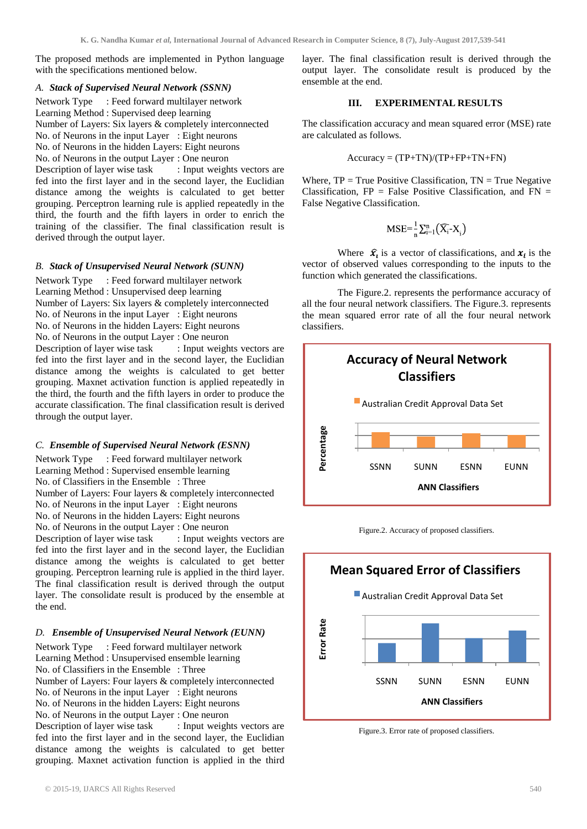The proposed methods are implemented in Python language with the specifications mentioned below.

#### *A. Stack of Supervised Neural Network (SSNN)*

Network Type : Feed forward multilayer network Learning Method : Supervised deep learning Number of Layers: Six layers & completely interconnected No. of Neurons in the input Layer : Eight neurons No. of Neurons in the hidden Layers: Eight neurons No. of Neurons in the output Layer : One neuron<br>Description of layer wise task : Input weights vectors are Description of layer wise task fed into the first layer and in the second layer, the Euclidian distance among the weights is calculated to get better grouping. Perceptron learning rule is applied repeatedly in the third, the fourth and the fifth layers in order to enrich the training of the classifier. The final classification result is derived through the output layer.

## *B. Stack of Unsupervised Neural Network (SUNN)*

Network Type : Feed forward multilayer network Learning Method : Unsupervised deep learning Number of Layers: Six layers & completely interconnected No. of Neurons in the input Layer : Eight neurons No. of Neurons in the hidden Layers: Eight neurons No. of Neurons in the output Layer : One neuron Description of layer wise task : Input weights vectors are fed into the first layer and in the second layer, the Euclidian distance among the weights is calculated to get better grouping. Maxnet activation function is applied repeatedly in the third, the fourth and the fifth layers in order to produce the accurate classification. The final classification result is derived through the output layer.

#### *C. Ensemble of Supervised Neural Network (ESNN)*

Network Type : Feed forward multilayer network Learning Method : Supervised ensemble learning No. of Classifiers in the Ensemble : Three Number of Layers: Four layers & completely interconnected No. of Neurons in the input Layer : Eight neurons No. of Neurons in the hidden Layers: Eight neurons No. of Neurons in the output Layer : One neuron Description of layer wise task : Input weights vectors are

fed into the first layer and in the second layer, the Euclidian distance among the weights is calculated to get better grouping. Perceptron learning rule is applied in the third layer. The final classification result is derived through the output layer. The consolidate result is produced by the ensemble at the end.

## *D. Ensemble of Unsupervised Neural Network (EUNN)*

Network Type : Feed forward multilayer network Learning Method : Unsupervised ensemble learning No. of Classifiers in the Ensemble : Three Number of Layers: Four layers & completely interconnected No. of Neurons in the input Layer : Eight neurons No. of Neurons in the hidden Layers: Eight neurons No. of Neurons in the output Layer : One neuron<br>Description of layer wise task : Input weights vectors are Description of layer wise task fed into the first layer and in the second layer, the Euclidian distance among the weights is calculated to get better grouping. Maxnet activation function is applied in the third layer. The final classification result is derived through the output layer. The consolidate result is produced by the ensemble at the end.

### **III. EXPERIMENTAL RESULTS**

The classification accuracy and mean squared error (MSE) rate are calculated as follows.

$$
Accuracy = (TP+TN)/(TP+FP+TN+FN)
$$

Where,  $TP = True$  Positive Classification,  $TN = True$  Negative Classification,  $FP = False Positive Classification$ , and  $FN =$ False Negative Classification.

$$
MSE = \frac{1}{n} \sum_{i=1}^{n} (\widehat{X_i} - X_i)
$$

Where  $\hat{x_i}$  is a vector of classifications, and  $x_i$  is the vector of observed values corresponding to the inputs to the function which generated the classifications.

The Figure.2. represents the performance accuracy of all the four neural network classifiers. The Figure.3. represents the mean squared error rate of all the four neural network classifiers.







Figure.3. Error rate of proposed classifiers.